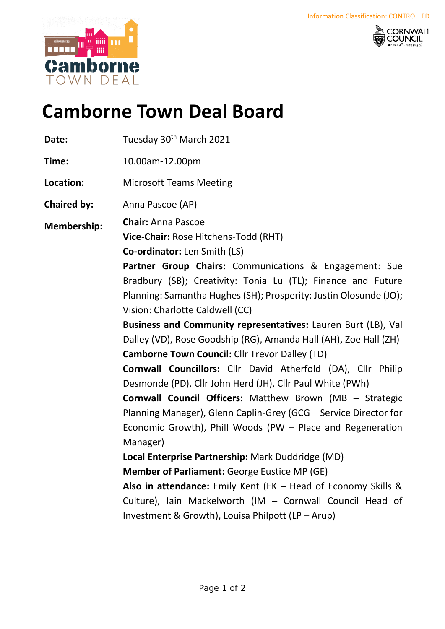



## **Camborne Town Deal Board**

- Date: Tuesday 30<sup>th</sup> March 2021
- **Time:** 10.00am-12.00pm
- **Location:** Microsoft Teams Meeting
- **Chaired by:** Anna Pascoe (AP)
- **Membership: Chair:** Anna Pascoe
	- **Vice-Chair:** Rose Hitchens-Todd (RHT)
		- **Co-ordinator:** Len Smith (LS)
		- **Partner Group Chairs:** Communications & Engagement: Sue Bradbury (SB); Creativity: Tonia Lu (TL); Finance and Future Planning: Samantha Hughes(SH); Prosperity: Justin Olosunde (JO); Vision: Charlotte Caldwell (CC)
		- **Business and Community representatives:** Lauren Burt (LB), Val Dalley (VD), Rose Goodship (RG), Amanda Hall (AH), Zoe Hall (ZH) **Camborne Town Council:** Cllr Trevor Dalley (TD)
		- **Cornwall Councillors:** Cllr David Atherfold (DA), Cllr Philip Desmonde (PD), Cllr John Herd (JH), Cllr Paul White (PWh)
		- **Cornwall Council Officers:** Matthew Brown (MB Strategic Planning Manager), Glenn Caplin-Grey (GCG – Service Director for Economic Growth), Phill Woods (PW – Place and Regeneration Manager)
		- **Local Enterprise Partnership:** Mark Duddridge (MD)
		- **Member of Parliament:** George Eustice MP (GE)
		- **Also in attendance:** Emily Kent (EK Head of Economy Skills & Culture), Iain Mackelworth (IM – Cornwall Council Head of Investment & Growth), Louisa Philpott (LP – Arup)